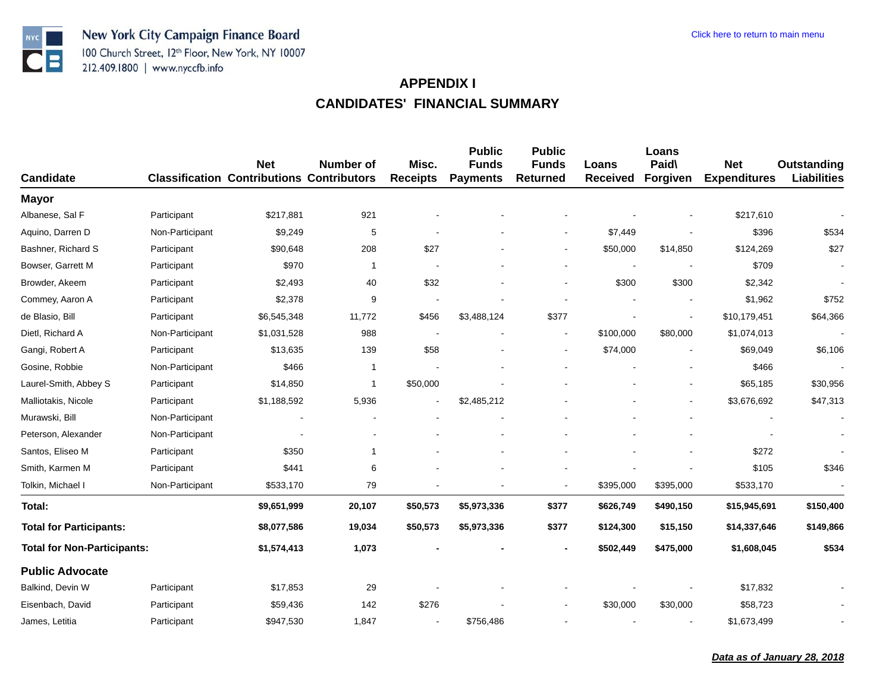

| <b>Candidate</b>                   |                 | <b>Net</b><br><b>Classification Contributions Contributors</b> | <b>Number of</b> | Misc.<br><b>Receipts</b> | <b>Public</b><br><b>Funds</b><br><b>Payments</b> | <b>Public</b><br><b>Funds</b><br><b>Returned</b> | Loans<br><b>Received</b> | Loans<br>Paid\<br>Forgiven | <b>Net</b><br><b>Expenditures</b> | Outstanding<br><b>Liabilities</b> |
|------------------------------------|-----------------|----------------------------------------------------------------|------------------|--------------------------|--------------------------------------------------|--------------------------------------------------|--------------------------|----------------------------|-----------------------------------|-----------------------------------|
| <b>Mayor</b>                       |                 |                                                                |                  |                          |                                                  |                                                  |                          |                            |                                   |                                   |
| Albanese, Sal F                    | Participant     | \$217,881                                                      | 921              |                          |                                                  |                                                  |                          |                            | \$217,610                         |                                   |
| Aquino, Darren D                   | Non-Participant | \$9,249                                                        | 5                |                          |                                                  |                                                  | \$7,449                  |                            | \$396                             | \$534                             |
| Bashner, Richard S                 | Participant     | \$90,648                                                       | 208              | \$27                     |                                                  | $\overline{\phantom{a}}$                         | \$50,000                 | \$14,850                   | \$124,269                         | \$27                              |
| Bowser, Garrett M                  | Participant     | \$970                                                          | $\overline{1}$   |                          |                                                  |                                                  |                          |                            | \$709                             | $\overline{\phantom{a}}$          |
| Browder, Akeem                     | Participant     | \$2,493                                                        | 40               | \$32                     |                                                  | $\overline{a}$                                   | \$300                    | \$300                      | \$2,342                           |                                   |
| Commey, Aaron A                    | Participant     | \$2,378                                                        | 9                |                          |                                                  |                                                  |                          |                            | \$1,962                           | \$752                             |
| de Blasio, Bill                    | Participant     | \$6,545,348                                                    | 11,772           | \$456                    | \$3,488,124                                      | \$377                                            |                          |                            | \$10,179,451                      | \$64,366                          |
| Dietl, Richard A                   | Non-Participant | \$1,031,528                                                    | 988              |                          |                                                  | $\blacksquare$                                   | \$100,000                | \$80,000                   | \$1,074,013                       |                                   |
| Gangi, Robert A                    | Participant     | \$13,635                                                       | 139              | \$58                     |                                                  | $\blacksquare$                                   | \$74,000                 |                            | \$69,049                          | \$6,106                           |
| Gosine, Robbie                     | Non-Participant | \$466                                                          | $\mathbf{1}$     |                          |                                                  |                                                  |                          |                            | \$466                             |                                   |
| Laurel-Smith, Abbey S              | Participant     | \$14,850                                                       | 1                | \$50,000                 |                                                  |                                                  |                          | $\overline{\phantom{a}}$   | \$65,185                          | \$30,956                          |
| Malliotakis, Nicole                | Participant     | \$1,188,592                                                    | 5,936            |                          | \$2,485,212                                      |                                                  |                          |                            | \$3,676,692                       | \$47,313                          |
| Murawski, Bill                     | Non-Participant |                                                                |                  |                          |                                                  |                                                  |                          |                            |                                   |                                   |
| Peterson, Alexander                | Non-Participant |                                                                |                  |                          |                                                  |                                                  |                          |                            |                                   |                                   |
| Santos, Eliseo M                   | Participant     | \$350                                                          | 1                |                          |                                                  |                                                  |                          |                            | \$272                             |                                   |
| Smith, Karmen M                    | Participant     | \$441                                                          | 6                |                          |                                                  |                                                  |                          |                            | \$105                             | \$346                             |
| Tolkin, Michael I                  | Non-Participant | \$533,170                                                      | 79               |                          |                                                  | $\blacksquare$                                   | \$395,000                | \$395,000                  | \$533,170                         |                                   |
| Total:                             |                 | \$9,651,999                                                    | 20,107           | \$50,573                 | \$5,973,336                                      | \$377                                            | \$626,749                | \$490,150                  | \$15,945,691                      | \$150,400                         |
| <b>Total for Participants:</b>     |                 | \$8,077,586                                                    | 19,034           | \$50,573                 | \$5,973,336                                      | \$377                                            | \$124,300                | \$15,150                   | \$14,337,646                      | \$149,866                         |
| <b>Total for Non-Participants:</b> |                 | \$1,574,413                                                    | 1,073            |                          |                                                  | $\blacksquare$                                   | \$502,449                | \$475,000                  | \$1,608,045                       | \$534                             |
| <b>Public Advocate</b>             |                 |                                                                |                  |                          |                                                  |                                                  |                          |                            |                                   |                                   |
| Balkind, Devin W                   | Participant     | \$17,853                                                       | 29               |                          |                                                  |                                                  |                          |                            | \$17,832                          |                                   |
| Eisenbach, David                   | Participant     | \$59,436                                                       | 142              | \$276                    |                                                  |                                                  | \$30,000                 | \$30,000                   | \$58,723                          |                                   |
| James, Letitia                     | Participant     | \$947,530                                                      | 1,847            |                          | \$756,486                                        |                                                  |                          |                            | \$1,673,499                       |                                   |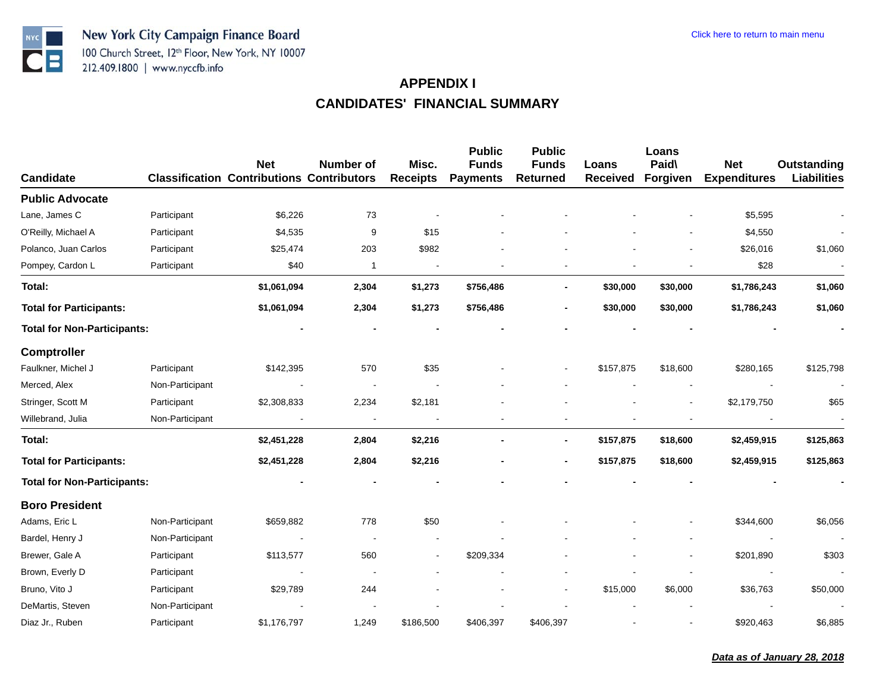

| <b>Candidate</b>                   |                 | <b>Net</b><br><b>Classification Contributions Contributors</b> | Number of                | Misc.<br><b>Receipts</b> | <b>Public</b><br><b>Funds</b><br><b>Payments</b> | <b>Public</b><br><b>Funds</b><br><b>Returned</b> | Loans<br><b>Received</b> | Loans<br>Paid\<br>Forgiven | <b>Net</b><br><b>Expenditures</b> | Outstanding<br><b>Liabilities</b> |
|------------------------------------|-----------------|----------------------------------------------------------------|--------------------------|--------------------------|--------------------------------------------------|--------------------------------------------------|--------------------------|----------------------------|-----------------------------------|-----------------------------------|
| <b>Public Advocate</b>             |                 |                                                                |                          |                          |                                                  |                                                  |                          |                            |                                   |                                   |
| Lane, James C                      | Participant     | \$6,226                                                        | 73                       |                          |                                                  |                                                  |                          |                            | \$5,595                           |                                   |
| O'Reilly, Michael A                | Participant     | \$4,535                                                        | 9                        | \$15                     |                                                  |                                                  |                          |                            | \$4,550                           |                                   |
| Polanco, Juan Carlos               | Participant     | \$25,474                                                       | 203                      | \$982                    |                                                  |                                                  |                          |                            | \$26,016                          | \$1,060                           |
| Pompey, Cardon L                   | Participant     | \$40                                                           | 1                        |                          |                                                  |                                                  |                          |                            | \$28                              |                                   |
| Total:                             |                 | \$1,061,094                                                    | 2,304                    | \$1,273                  | \$756,486                                        | $\overline{\phantom{a}}$                         | \$30,000                 | \$30,000                   | \$1,786,243                       | \$1,060                           |
| <b>Total for Participants:</b>     |                 | \$1,061,094                                                    | 2,304                    | \$1,273                  | \$756,486                                        | $\overline{\phantom{a}}$                         | \$30,000                 | \$30,000                   | \$1,786,243                       | \$1,060                           |
| <b>Total for Non-Participants:</b> |                 |                                                                |                          |                          |                                                  |                                                  |                          |                            |                                   |                                   |
| <b>Comptroller</b>                 |                 |                                                                |                          |                          |                                                  |                                                  |                          |                            |                                   |                                   |
| Faulkner, Michel J                 | Participant     | \$142,395                                                      | 570                      | \$35                     |                                                  |                                                  | \$157,875                | \$18,600                   | \$280,165                         | \$125,798                         |
| Merced, Alex                       | Non-Participant |                                                                |                          |                          |                                                  |                                                  |                          |                            |                                   |                                   |
| Stringer, Scott M                  | Participant     | \$2,308,833                                                    | 2,234                    | \$2,181                  |                                                  |                                                  |                          |                            | \$2,179,750                       | \$65                              |
| Willebrand, Julia                  | Non-Participant |                                                                | $\overline{\phantom{a}}$ |                          |                                                  | $\overline{\phantom{a}}$                         |                          |                            |                                   |                                   |
| Total:                             |                 | \$2,451,228                                                    | 2,804                    | \$2,216                  |                                                  | $\blacksquare$                                   | \$157,875                | \$18,600                   | \$2,459,915                       | \$125,863                         |
| <b>Total for Participants:</b>     |                 | \$2,451,228                                                    | 2,804                    | \$2,216                  |                                                  | $\blacksquare$                                   | \$157,875                | \$18,600                   | \$2,459,915                       | \$125,863                         |
| <b>Total for Non-Participants:</b> |                 |                                                                |                          |                          |                                                  |                                                  |                          |                            |                                   |                                   |
| <b>Boro President</b>              |                 |                                                                |                          |                          |                                                  |                                                  |                          |                            |                                   |                                   |
| Adams, Eric L                      | Non-Participant | \$659,882                                                      | 778                      | \$50                     |                                                  |                                                  |                          |                            | \$344,600                         | \$6,056                           |
| Bardel, Henry J                    | Non-Participant |                                                                |                          |                          |                                                  |                                                  |                          |                            |                                   |                                   |
| Brewer, Gale A                     | Participant     | \$113,577                                                      | 560                      |                          | \$209,334                                        |                                                  |                          |                            | \$201,890                         | \$303                             |
| Brown, Everly D                    | Participant     |                                                                | $\overline{\phantom{a}}$ |                          |                                                  |                                                  |                          |                            |                                   |                                   |
| Bruno, Vito J                      | Participant     | \$29,789                                                       | 244                      |                          |                                                  | $\blacksquare$                                   | \$15,000                 | \$6,000                    | \$36,763                          | \$50,000                          |
| DeMartis, Steven                   | Non-Participant |                                                                |                          |                          |                                                  |                                                  |                          |                            |                                   |                                   |
| Diaz Jr., Ruben                    | Participant     | \$1,176,797                                                    | 1,249                    | \$186,500                | \$406,397                                        | \$406,397                                        |                          |                            | \$920,463                         | \$6,885                           |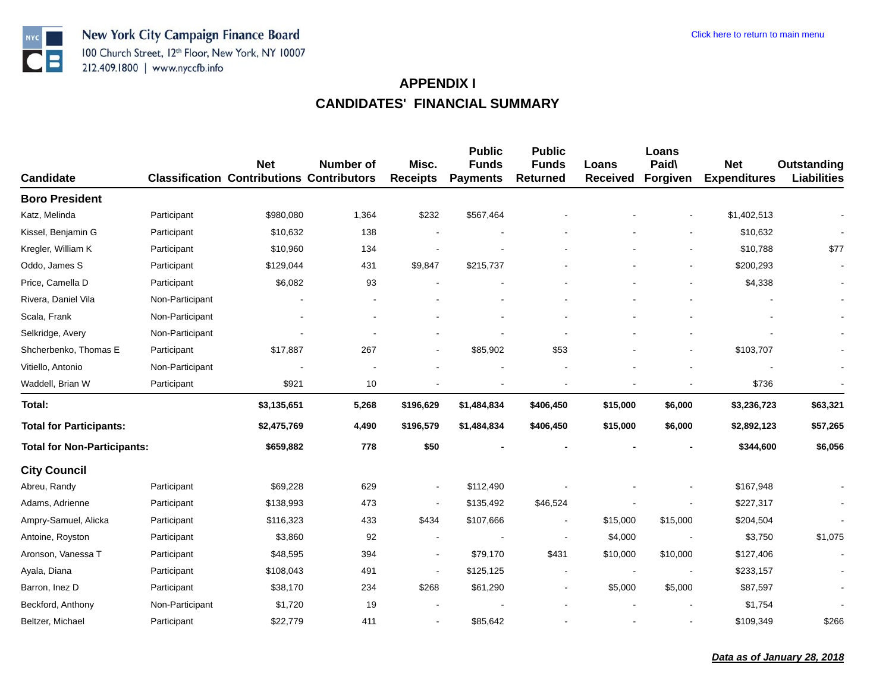

| <b>Candidate</b>                   |                 | <b>Net</b><br><b>Classification Contributions Contributors</b> | Number of | Misc.<br><b>Receipts</b> | <b>Public</b><br><b>Funds</b><br><b>Payments</b> | <b>Public</b><br><b>Funds</b><br><b>Returned</b> | Loans<br><b>Received</b> | Loans<br>Paid\<br>Forgiven | <b>Net</b><br><b>Expenditures</b> | Outstanding<br><b>Liabilities</b> |
|------------------------------------|-----------------|----------------------------------------------------------------|-----------|--------------------------|--------------------------------------------------|--------------------------------------------------|--------------------------|----------------------------|-----------------------------------|-----------------------------------|
| <b>Boro President</b>              |                 |                                                                |           |                          |                                                  |                                                  |                          |                            |                                   |                                   |
| Katz, Melinda                      | Participant     | \$980,080                                                      | 1,364     | \$232                    | \$567,464                                        |                                                  |                          |                            | \$1,402,513                       |                                   |
| Kissel, Benjamin G                 | Participant     | \$10,632                                                       | 138       |                          |                                                  |                                                  |                          |                            | \$10,632                          |                                   |
| Kregler, William K                 | Participant     | \$10,960                                                       | 134       |                          |                                                  |                                                  |                          |                            | \$10,788                          | \$77                              |
| Oddo, James S                      | Participant     | \$129,044                                                      | 431       | \$9,847                  | \$215,737                                        |                                                  |                          | $\blacksquare$             | \$200,293                         |                                   |
| Price, Camella D                   | Participant     | \$6,082                                                        | 93        |                          |                                                  |                                                  |                          |                            | \$4,338                           |                                   |
| Rivera, Daniel Vila                | Non-Participant |                                                                |           |                          |                                                  |                                                  |                          |                            |                                   |                                   |
| Scala, Frank                       | Non-Participant |                                                                |           |                          |                                                  |                                                  |                          |                            |                                   |                                   |
| Selkridge, Avery                   | Non-Participant |                                                                |           |                          |                                                  |                                                  |                          |                            |                                   |                                   |
| Shcherbenko, Thomas E              | Participant     | \$17,887                                                       | 267       |                          | \$85,902                                         | \$53                                             |                          |                            | \$103,707                         |                                   |
| Vitiello, Antonio                  | Non-Participant |                                                                |           |                          |                                                  |                                                  |                          |                            |                                   |                                   |
| Waddell, Brian W                   | Participant     | \$921                                                          | 10        |                          |                                                  |                                                  |                          |                            | \$736                             |                                   |
| Total:                             |                 | \$3,135,651                                                    | 5,268     | \$196,629                | \$1,484,834                                      | \$406,450                                        | \$15,000                 | \$6,000                    | \$3,236,723                       | \$63,321                          |
| <b>Total for Participants:</b>     |                 | \$2,475,769                                                    | 4,490     | \$196,579                | \$1,484,834                                      | \$406,450                                        | \$15,000                 | \$6,000                    | \$2,892,123                       | \$57,265                          |
| <b>Total for Non-Participants:</b> |                 | \$659,882                                                      | 778       | \$50                     |                                                  |                                                  |                          |                            | \$344,600                         | \$6,056                           |
| <b>City Council</b>                |                 |                                                                |           |                          |                                                  |                                                  |                          |                            |                                   |                                   |
| Abreu, Randy                       | Participant     | \$69,228                                                       | 629       | $\sim$                   | \$112,490                                        |                                                  |                          |                            | \$167,948                         |                                   |
| Adams, Adrienne                    | Participant     | \$138,993                                                      | 473       |                          | \$135,492                                        | \$46,524                                         |                          |                            | \$227,317                         |                                   |
| Ampry-Samuel, Alicka               | Participant     | \$116,323                                                      | 433       | \$434                    | \$107,666                                        | $\blacksquare$                                   | \$15,000                 | \$15,000                   | \$204,504                         |                                   |
| Antoine, Royston                   | Participant     | \$3,860                                                        | 92        | $\sim$                   |                                                  | $\blacksquare$                                   | \$4,000                  |                            | \$3,750                           | \$1,075                           |
| Aronson, Vanessa T                 | Participant     | \$48,595                                                       | 394       | $\blacksquare$           | \$79,170                                         | \$431                                            | \$10,000                 | \$10,000                   | \$127,406                         |                                   |
| Ayala, Diana                       | Participant     | \$108,043                                                      | 491       |                          | \$125,125                                        | $\blacksquare$                                   |                          | $\overline{\phantom{a}}$   | \$233,157                         |                                   |
| Barron, Inez D                     | Participant     | \$38,170                                                       | 234       | \$268                    | \$61,290                                         | $\overline{\phantom{a}}$                         | \$5,000                  | \$5,000                    | \$87,597                          |                                   |
| Beckford, Anthony                  | Non-Participant | \$1,720                                                        | 19        |                          |                                                  |                                                  |                          |                            | \$1,754                           |                                   |
| Beltzer, Michael                   | Participant     | \$22,779                                                       | 411       |                          | \$85,642                                         |                                                  |                          |                            | \$109,349                         | \$266                             |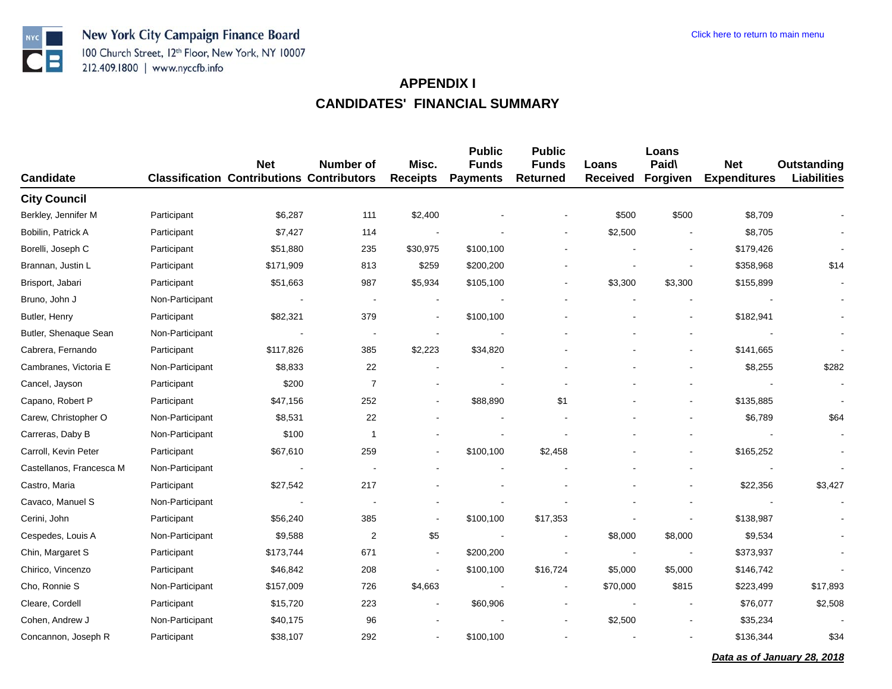

|                          |                 | <b>Net</b>                                       | Number of                | Misc.                    | <b>Public</b><br><b>Funds</b> | <b>Public</b><br><b>Funds</b> | Loans           | Loans<br>Paid\           | <b>Net</b>          | Outstanding        |
|--------------------------|-----------------|--------------------------------------------------|--------------------------|--------------------------|-------------------------------|-------------------------------|-----------------|--------------------------|---------------------|--------------------|
| <b>Candidate</b>         |                 | <b>Classification Contributions Contributors</b> |                          | <b>Receipts</b>          | <b>Payments</b>               | <b>Returned</b>               | <b>Received</b> | Forgiven                 | <b>Expenditures</b> | <b>Liabilities</b> |
| <b>City Council</b>      |                 |                                                  |                          |                          |                               |                               |                 |                          |                     |                    |
| Berkley, Jennifer M      | Participant     | \$6,287                                          | 111                      | \$2,400                  |                               |                               | \$500           | \$500                    | \$8,709             |                    |
| Bobilin, Patrick A       | Participant     | \$7,427                                          | 114                      | $\sim$                   |                               |                               | \$2,500         | $\overline{\phantom{a}}$ | \$8,705             |                    |
| Borelli, Joseph C        | Participant     | \$51,880                                         | 235                      | \$30,975                 | \$100,100                     |                               |                 | $\blacksquare$           | \$179,426           |                    |
| Brannan, Justin L.       | Participant     | \$171,909                                        | 813                      | \$259                    | \$200,200                     |                               |                 | $\blacksquare$           | \$358,968           | \$14               |
| Brisport, Jabari         | Participant     | \$51,663                                         | 987                      | \$5,934                  | \$105,100                     | $\sim$                        | \$3,300         | \$3,300                  | \$155,899           |                    |
| Bruno, John J            | Non-Participant | $\overline{\phantom{a}}$                         | $\overline{\phantom{a}}$ | $\sim$                   |                               |                               |                 |                          |                     |                    |
| Butler, Henry            | Participant     | \$82,321                                         | 379                      | $\sim$                   | \$100,100                     |                               |                 | $\sim$                   | \$182,941           |                    |
| Butler, Shenaque Sean    | Non-Participant | $\overline{\phantom{a}}$                         |                          |                          |                               |                               |                 |                          |                     |                    |
| Cabrera, Fernando        | Participant     | \$117,826                                        | 385                      | \$2,223                  | \$34,820                      |                               |                 | $\overline{\phantom{a}}$ | \$141,665           |                    |
| Cambranes, Victoria E    | Non-Participant | \$8,833                                          | 22                       | $\blacksquare$           |                               |                               |                 |                          | \$8,255             | \$282              |
| Cancel, Jayson           | Participant     | \$200                                            | $\overline{7}$           |                          |                               |                               |                 |                          |                     |                    |
| Capano, Robert P         | Participant     | \$47,156                                         | 252                      |                          | \$88,890                      | \$1                           |                 |                          | \$135,885           |                    |
| Carew, Christopher O     | Non-Participant | \$8,531                                          | 22                       |                          |                               |                               |                 |                          | \$6,789             | \$64               |
| Carreras, Daby B         | Non-Participant | \$100                                            | $\overline{1}$           |                          |                               |                               |                 |                          |                     |                    |
| Carroll, Kevin Peter     | Participant     | \$67,610                                         | 259                      |                          | \$100,100                     | \$2,458                       |                 |                          | \$165,252           |                    |
| Castellanos, Francesca M | Non-Participant | $\sim$                                           |                          |                          |                               |                               |                 |                          |                     |                    |
| Castro, Maria            | Participant     | \$27,542                                         | 217                      |                          |                               |                               |                 |                          | \$22,356            | \$3,427            |
| Cavaco, Manuel S         | Non-Participant |                                                  |                          |                          |                               |                               |                 |                          |                     |                    |
| Cerini, John             | Participant     | \$56,240                                         | 385                      |                          | \$100,100                     | \$17,353                      |                 |                          | \$138,987           |                    |
| Cespedes, Louis A        | Non-Participant | \$9,588                                          | $\overline{2}$           | \$5                      |                               |                               | \$8,000         | \$8,000                  | \$9,534             |                    |
| Chin, Margaret S         | Participant     | \$173,744                                        | 671                      | $\overline{\phantom{a}}$ | \$200,200                     |                               | $\blacksquare$  | $\overline{\phantom{a}}$ | \$373,937           |                    |
| Chirico, Vincenzo        | Participant     | \$46,842                                         | 208                      |                          | \$100,100                     | \$16,724                      | \$5,000         | \$5,000                  | \$146,742           |                    |
| Cho, Ronnie S            | Non-Participant | \$157,009                                        | 726                      | \$4,663                  |                               |                               | \$70,000        | \$815                    | \$223,499           | \$17,893           |
| Cleare, Cordell          | Participant     | \$15,720                                         | 223                      |                          | \$60,906                      |                               |                 | $\overline{\phantom{a}}$ | \$76,077            | \$2,508            |
| Cohen, Andrew J          | Non-Participant | \$40,175                                         | 96                       |                          |                               |                               | \$2,500         |                          | \$35,234            |                    |
| Concannon, Joseph R      | Participant     | \$38,107                                         | 292                      |                          | \$100,100                     |                               |                 |                          | \$136,344           | \$34               |
|                          |                 |                                                  |                          |                          |                               |                               |                 |                          |                     |                    |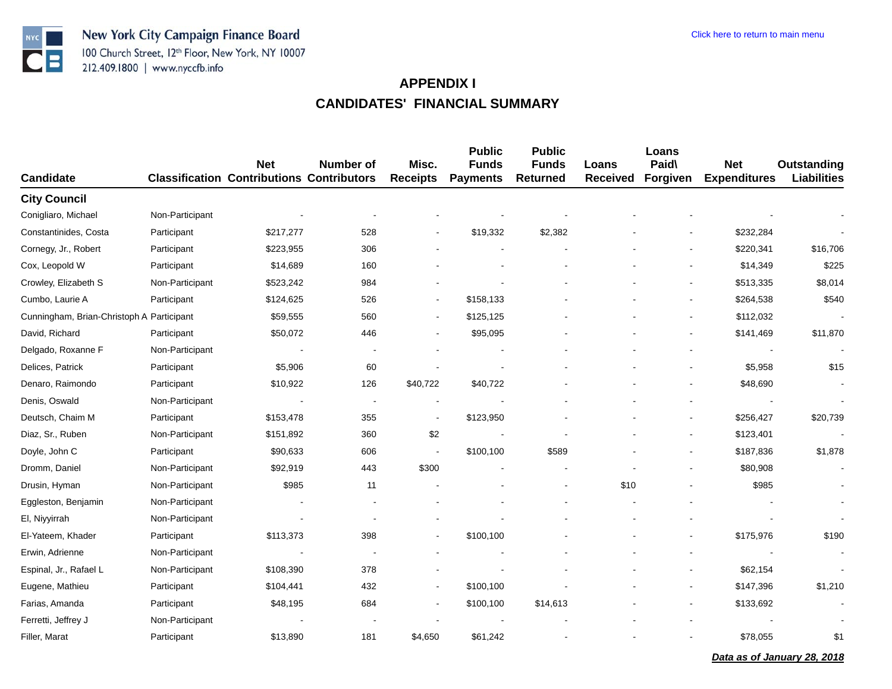

| <b>Candidate</b>                          |                 | <b>Net</b><br><b>Classification Contributions Contributors</b> | <b>Number of</b> | Misc.<br><b>Receipts</b> | <b>Public</b><br><b>Funds</b><br><b>Payments</b> | <b>Public</b><br><b>Funds</b><br><b>Returned</b> | Loans<br><b>Received</b> | Loans<br>Paid\<br>Forgiven | <b>Net</b><br><b>Expenditures</b> | <b>Outstanding</b><br><b>Liabilities</b> |
|-------------------------------------------|-----------------|----------------------------------------------------------------|------------------|--------------------------|--------------------------------------------------|--------------------------------------------------|--------------------------|----------------------------|-----------------------------------|------------------------------------------|
| <b>City Council</b>                       |                 |                                                                |                  |                          |                                                  |                                                  |                          |                            |                                   |                                          |
| Conigliaro, Michael                       | Non-Participant |                                                                |                  |                          |                                                  |                                                  |                          |                            |                                   |                                          |
| Constantinides, Costa                     | Participant     | \$217,277                                                      | 528              |                          | \$19,332                                         | \$2,382                                          |                          |                            | \$232,284                         |                                          |
| Cornegy, Jr., Robert                      | Participant     | \$223,955                                                      | 306              |                          |                                                  |                                                  |                          |                            | \$220,341                         | \$16,706                                 |
| Cox, Leopold W                            | Participant     | \$14,689                                                       | 160              |                          |                                                  |                                                  |                          |                            | \$14,349                          | \$225                                    |
| Crowley, Elizabeth S                      | Non-Participant | \$523,242                                                      | 984              |                          |                                                  |                                                  |                          |                            | \$513,335                         | \$8,014                                  |
| Cumbo, Laurie A                           | Participant     | \$124,625                                                      | 526              |                          | \$158,133                                        |                                                  |                          |                            | \$264,538                         | \$540                                    |
| Cunningham, Brian-Christoph A Participant |                 | \$59,555                                                       | 560              |                          | \$125,125                                        |                                                  |                          |                            | \$112,032                         |                                          |
| David, Richard                            | Participant     | \$50,072                                                       | 446              |                          | \$95,095                                         |                                                  |                          |                            | \$141,469                         | \$11,870                                 |
| Delgado, Roxanne F                        | Non-Participant |                                                                |                  |                          |                                                  |                                                  |                          |                            |                                   |                                          |
| Delices, Patrick                          | Participant     | \$5,906                                                        | 60               |                          |                                                  |                                                  |                          |                            | \$5,958                           | \$15                                     |
| Denaro, Raimondo                          | Participant     | \$10,922                                                       | 126              | \$40,722                 | \$40,722                                         |                                                  |                          |                            | \$48,690                          |                                          |
| Denis, Oswald                             | Non-Participant | $\overline{\phantom{a}}$                                       |                  |                          |                                                  |                                                  |                          |                            |                                   |                                          |
| Deutsch, Chaim M                          | Participant     | \$153,478                                                      | 355              |                          | \$123,950                                        |                                                  |                          | $\blacksquare$             | \$256,427                         | \$20,739                                 |
| Diaz, Sr., Ruben                          | Non-Participant | \$151,892                                                      | 360              | \$2                      |                                                  |                                                  |                          |                            | \$123,401                         |                                          |
| Doyle, John C                             | Participant     | \$90,633                                                       | 606              |                          | \$100,100                                        | \$589                                            |                          |                            | \$187,836                         | \$1,878                                  |
| Dromm, Daniel                             | Non-Participant | \$92,919                                                       | 443              | \$300                    |                                                  |                                                  |                          |                            | \$80,908                          |                                          |
| Drusin, Hyman                             | Non-Participant | \$985                                                          | 11               |                          |                                                  |                                                  | \$10                     |                            | \$985                             |                                          |
| Eggleston, Benjamin                       | Non-Participant |                                                                |                  |                          |                                                  |                                                  |                          |                            |                                   |                                          |
| El, Niyyirrah                             | Non-Participant | $\overline{\phantom{a}}$                                       |                  |                          |                                                  |                                                  |                          |                            |                                   |                                          |
| El-Yateem, Khader                         | Participant     | \$113,373                                                      | 398              |                          | \$100,100                                        |                                                  |                          |                            | \$175,976                         | \$190                                    |
| Erwin, Adrienne                           | Non-Participant |                                                                |                  |                          |                                                  |                                                  |                          |                            |                                   |                                          |
| Espinal, Jr., Rafael L                    | Non-Participant | \$108,390                                                      | 378              |                          |                                                  |                                                  |                          |                            | \$62,154                          |                                          |
| Eugene, Mathieu                           | Participant     | \$104,441                                                      | 432              |                          | \$100,100                                        |                                                  |                          |                            | \$147,396                         | \$1,210                                  |
| Farias, Amanda                            | Participant     | \$48,195                                                       | 684              |                          | \$100,100                                        | \$14,613                                         |                          |                            | \$133,692                         |                                          |
| Ferretti, Jeffrey J                       | Non-Participant |                                                                |                  |                          |                                                  |                                                  |                          |                            |                                   |                                          |
| Filler, Marat                             | Participant     | \$13,890                                                       | 181              | \$4,650                  | \$61,242                                         |                                                  |                          |                            | \$78,055                          | \$1                                      |

*Data as of January 28, 2018*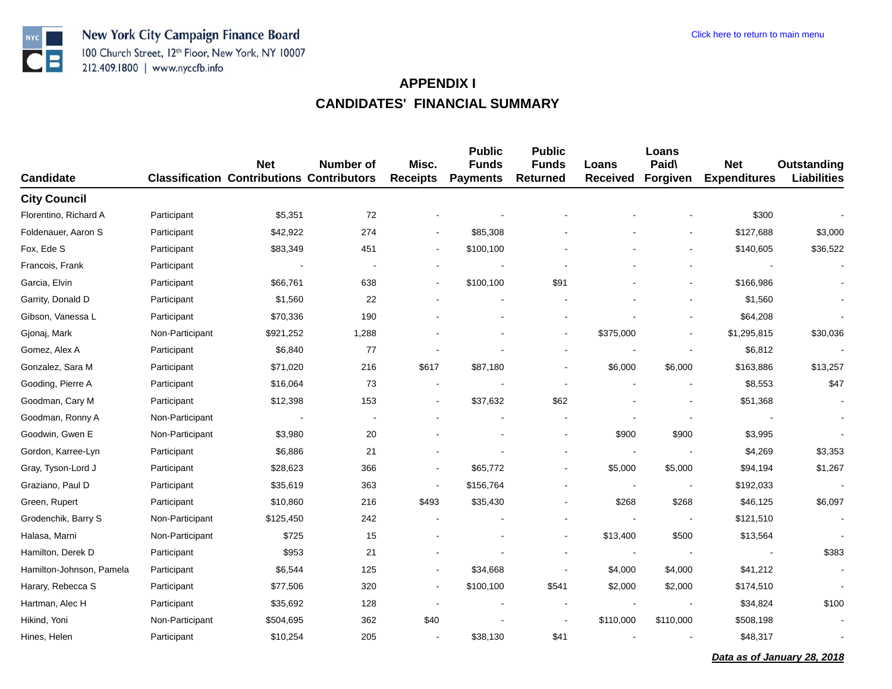

| <b>Candidate</b>         |                 | <b>Net</b><br><b>Classification Contributions Contributors</b> | <b>Number of</b> | Misc.<br><b>Receipts</b> | <b>Public</b><br><b>Funds</b><br><b>Payments</b> | <b>Public</b><br><b>Funds</b><br><b>Returned</b> | Loans<br><b>Received</b> | Loans<br>Paid\<br>Forgiven | <b>Net</b><br><b>Expenditures</b> | Outstanding<br><b>Liabilities</b> |
|--------------------------|-----------------|----------------------------------------------------------------|------------------|--------------------------|--------------------------------------------------|--------------------------------------------------|--------------------------|----------------------------|-----------------------------------|-----------------------------------|
| <b>City Council</b>      |                 |                                                                |                  |                          |                                                  |                                                  |                          |                            |                                   |                                   |
| Florentino, Richard A    | Participant     | \$5,351                                                        | 72               |                          |                                                  |                                                  |                          |                            | \$300                             |                                   |
| Foldenauer, Aaron S      | Participant     | \$42,922                                                       | 274              |                          | \$85,308                                         |                                                  |                          |                            | \$127,688                         | \$3,000                           |
| Fox, Ede S               | Participant     | \$83,349                                                       | 451              | $\blacksquare$           | \$100,100                                        |                                                  |                          |                            | \$140,605                         | \$36,522                          |
| Francois, Frank          | Participant     |                                                                |                  |                          |                                                  |                                                  |                          |                            |                                   |                                   |
| Garcia, Elvin            | Participant     | \$66,761                                                       | 638              | $\blacksquare$           | \$100,100                                        | \$91                                             |                          | $\overline{\phantom{a}}$   | \$166,986                         |                                   |
| Garrity, Donald D        | Participant     | \$1,560                                                        | 22               |                          |                                                  |                                                  |                          |                            | \$1,560                           |                                   |
| Gibson, Vanessa L        | Participant     | \$70,336                                                       | 190              |                          |                                                  |                                                  |                          |                            | \$64,208                          |                                   |
| Gjonaj, Mark             | Non-Participant | \$921,252                                                      | 1,288            |                          |                                                  |                                                  | \$375,000                |                            | \$1,295,815                       | \$30,036                          |
| Gomez, Alex A            | Participant     | \$6,840                                                        | 77               |                          |                                                  |                                                  |                          |                            | \$6,812                           |                                   |
| Gonzalez, Sara M         | Participant     | \$71,020                                                       | 216              | \$617                    | \$87,180                                         |                                                  | \$6,000                  | \$6,000                    | \$163,886                         | \$13,257                          |
| Gooding, Pierre A        | Participant     | \$16,064                                                       | 73               |                          |                                                  |                                                  |                          |                            | \$8,553                           | \$47                              |
| Goodman, Cary M          | Participant     | \$12,398                                                       | 153              |                          | \$37,632                                         | \$62                                             |                          |                            | \$51,368                          |                                   |
| Goodman, Ronny A         | Non-Participant |                                                                |                  |                          |                                                  |                                                  |                          |                            |                                   |                                   |
| Goodwin, Gwen E          | Non-Participant | \$3,980                                                        | 20               |                          |                                                  | $\overline{\phantom{a}}$                         | \$900                    | \$900                      | \$3,995                           |                                   |
| Gordon, Karree-Lyn       | Participant     | \$6,886                                                        | 21               |                          |                                                  |                                                  |                          |                            | \$4,269                           | \$3,353                           |
| Gray, Tyson-Lord J       | Participant     | \$28,623                                                       | 366              | $\blacksquare$           | \$65,772                                         | $\ddot{\phantom{a}}$                             | \$5,000                  | \$5,000                    | \$94,194                          | \$1,267                           |
| Graziano, Paul D         | Participant     | \$35,619                                                       | 363              | $\blacksquare$           | \$156,764                                        |                                                  |                          | $\overline{\phantom{a}}$   | \$192,033                         |                                   |
| Green, Rupert            | Participant     | \$10,860                                                       | 216              | \$493                    | \$35,430                                         | $\blacksquare$                                   | \$268                    | \$268                      | \$46,125                          | \$6,097                           |
| Grodenchik, Barry S      | Non-Participant | \$125,450                                                      | 242              | $\sim$                   |                                                  |                                                  |                          | $\overline{\phantom{a}}$   | \$121,510                         |                                   |
| Halasa, Marni            | Non-Participant | \$725                                                          | 15               |                          |                                                  | $\overline{\phantom{a}}$                         | \$13,400                 | \$500                      | \$13,564                          |                                   |
| Hamilton, Derek D        | Participant     | \$953                                                          | 21               |                          |                                                  |                                                  |                          |                            |                                   | \$383                             |
| Hamilton-Johnson, Pamela | Participant     | \$6,544                                                        | 125              | $\overline{\phantom{a}}$ | \$34,668                                         | $\blacksquare$                                   | \$4,000                  | \$4,000                    | \$41,212                          |                                   |
| Harary, Rebecca S        | Participant     | \$77,506                                                       | 320              | $\overline{\phantom{a}}$ | \$100,100                                        | \$541                                            | \$2,000                  | \$2,000                    | \$174,510                         |                                   |
| Hartman, Alec H          | Participant     | \$35,692                                                       | 128              | $\overline{\phantom{a}}$ | $\blacksquare$                                   |                                                  |                          |                            | \$34,824                          | \$100                             |
| Hikind, Yoni             | Non-Participant | \$504,695                                                      | 362              | \$40                     |                                                  |                                                  | \$110,000                | \$110,000                  | \$508,198                         |                                   |
| Hines, Helen             | Participant     | \$10,254                                                       | 205              |                          | \$38,130                                         | \$41                                             |                          |                            | \$48,317                          |                                   |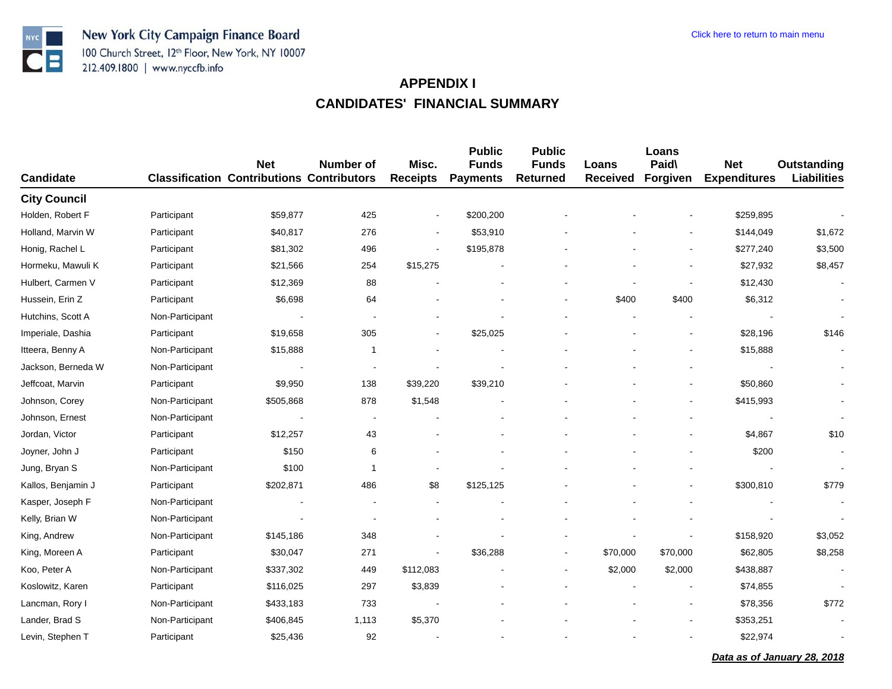

| Candidate           |                 | <b>Net</b><br><b>Classification Contributions Contributors</b> | <b>Number of</b> | Misc.<br><b>Receipts</b> | <b>Public</b><br><b>Funds</b><br><b>Payments</b> | <b>Public</b><br><b>Funds</b><br><b>Returned</b> | Loans<br><b>Received</b> | Loans<br>Paid\<br>Forgiven | <b>Net</b><br><b>Expenditures</b> | <b>Outstanding</b><br><b>Liabilities</b> |
|---------------------|-----------------|----------------------------------------------------------------|------------------|--------------------------|--------------------------------------------------|--------------------------------------------------|--------------------------|----------------------------|-----------------------------------|------------------------------------------|
| <b>City Council</b> |                 |                                                                |                  |                          |                                                  |                                                  |                          |                            |                                   |                                          |
| Holden, Robert F    | Participant     | \$59,877                                                       | 425              | $\blacksquare$           | \$200,200                                        |                                                  |                          |                            | \$259,895                         |                                          |
| Holland, Marvin W   | Participant     | \$40,817                                                       | 276              | $\overline{\phantom{a}}$ | \$53,910                                         |                                                  |                          |                            | \$144,049                         | \$1,672                                  |
| Honig, Rachel L     | Participant     | \$81,302                                                       | 496              |                          | \$195,878                                        |                                                  |                          |                            | \$277,240                         | \$3,500                                  |
| Hormeku, Mawuli K   | Participant     | \$21,566                                                       | 254              | \$15,275                 |                                                  |                                                  |                          |                            | \$27,932                          | \$8,457                                  |
| Hulbert, Carmen V   | Participant     | \$12,369                                                       | 88               |                          |                                                  |                                                  |                          | $\blacksquare$             | \$12,430                          | $\sim$                                   |
| Hussein, Erin Z     | Participant     | \$6,698                                                        | 64               |                          |                                                  |                                                  | \$400                    | \$400                      | \$6,312                           |                                          |
| Hutchins, Scott A   | Non-Participant |                                                                |                  |                          |                                                  |                                                  |                          |                            |                                   |                                          |
| Imperiale, Dashia   | Participant     | \$19,658                                                       | 305              |                          | \$25,025                                         |                                                  |                          |                            | \$28,196                          | \$146                                    |
| Itteera, Benny A    | Non-Participant | \$15,888                                                       | -1               |                          |                                                  |                                                  |                          | $\blacksquare$             | \$15,888                          |                                          |
| Jackson, Berneda W  | Non-Participant |                                                                |                  |                          |                                                  |                                                  |                          |                            |                                   |                                          |
| Jeffcoat, Marvin    | Participant     | \$9,950                                                        | 138              | \$39,220                 | \$39,210                                         |                                                  |                          |                            | \$50,860                          | $\blacksquare$                           |
| Johnson, Corey      | Non-Participant | \$505,868                                                      | 878              | \$1,548                  |                                                  |                                                  |                          |                            | \$415,993                         |                                          |
| Johnson, Ernest     | Non-Participant |                                                                |                  |                          |                                                  |                                                  |                          |                            |                                   | $\overline{\phantom{a}}$                 |
| Jordan, Victor      | Participant     | \$12,257                                                       | 43               |                          |                                                  |                                                  |                          |                            | \$4,867                           | \$10                                     |
| Joyner, John J      | Participant     | \$150                                                          | 6                |                          |                                                  |                                                  |                          |                            | \$200                             | $\overline{\phantom{a}}$                 |
| Jung, Bryan S       | Non-Participant | \$100                                                          | $\overline{1}$   |                          |                                                  |                                                  |                          |                            |                                   | $\sim$                                   |
| Kallos, Benjamin J  | Participant     | \$202,871                                                      | 486              | \$8                      | \$125,125                                        |                                                  |                          |                            | \$300,810                         | \$779                                    |
| Kasper, Joseph F    | Non-Participant |                                                                |                  |                          |                                                  |                                                  |                          |                            |                                   |                                          |
| Kelly, Brian W      | Non-Participant |                                                                |                  |                          |                                                  |                                                  |                          |                            |                                   |                                          |
| King, Andrew        | Non-Participant | \$145,186                                                      | 348              |                          |                                                  |                                                  |                          |                            | \$158,920                         | \$3,052                                  |
| King, Moreen A      | Participant     | \$30,047                                                       | 271              |                          | \$36,288                                         |                                                  | \$70,000                 | \$70,000                   | \$62,805                          | \$8,258                                  |
| Koo, Peter A        | Non-Participant | \$337,302                                                      | 449              | \$112,083                |                                                  | $\overline{\phantom{a}}$                         | \$2,000                  | \$2,000                    | \$438,887                         |                                          |
| Koslowitz, Karen    | Participant     | \$116,025                                                      | 297              | \$3,839                  |                                                  |                                                  |                          |                            | \$74,855                          |                                          |
| Lancman, Rory I     | Non-Participant | \$433,183                                                      | 733              |                          |                                                  |                                                  |                          | $\overline{\phantom{a}}$   | \$78,356                          | \$772                                    |
| Lander, Brad S      | Non-Participant | \$406,845                                                      | 1,113            | \$5,370                  |                                                  |                                                  |                          |                            | \$353,251                         |                                          |
| Levin, Stephen T    | Participant     | \$25,436                                                       | 92               |                          |                                                  |                                                  |                          |                            | \$22,974                          |                                          |

*Data as of January 28, 2018*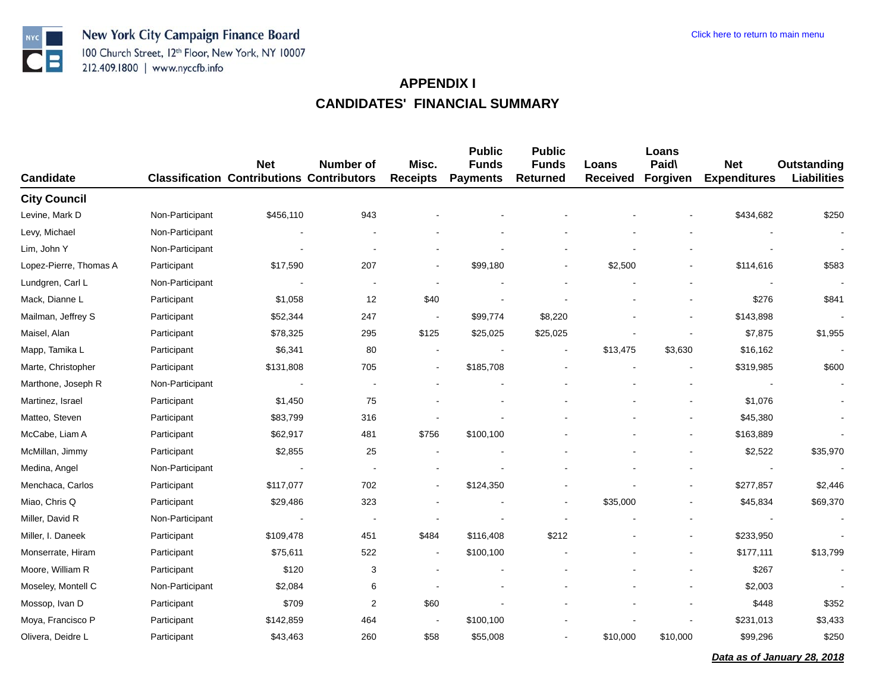

| <b>Candidate</b>       |                 | <b>Net</b><br><b>Classification Contributions Contributors</b> | <b>Number of</b> | Misc.<br><b>Receipts</b> | <b>Public</b><br><b>Funds</b><br><b>Payments</b> | <b>Public</b><br><b>Funds</b><br><b>Returned</b> | Loans<br><b>Received</b> | Loans<br>Paid\<br>Forgiven | <b>Net</b><br><b>Expenditures</b> | Outstanding<br><b>Liabilities</b> |
|------------------------|-----------------|----------------------------------------------------------------|------------------|--------------------------|--------------------------------------------------|--------------------------------------------------|--------------------------|----------------------------|-----------------------------------|-----------------------------------|
| <b>City Council</b>    |                 |                                                                |                  |                          |                                                  |                                                  |                          |                            |                                   |                                   |
| Levine, Mark D         | Non-Participant | \$456,110                                                      | 943              |                          |                                                  |                                                  |                          |                            | \$434,682                         | \$250                             |
| Levy, Michael          | Non-Participant |                                                                |                  |                          |                                                  |                                                  |                          |                            |                                   |                                   |
| Lim, John Y            | Non-Participant |                                                                |                  |                          |                                                  |                                                  |                          |                            |                                   |                                   |
| Lopez-Pierre, Thomas A | Participant     | \$17,590                                                       | 207              |                          | \$99,180                                         |                                                  | \$2,500                  |                            | \$114,616                         | \$583                             |
| Lundgren, Carl L       | Non-Participant |                                                                |                  |                          |                                                  |                                                  |                          |                            |                                   | $\blacksquare$                    |
| Mack, Dianne L         | Participant     | \$1,058                                                        | 12               | \$40                     |                                                  |                                                  |                          |                            | \$276                             | \$841                             |
| Mailman, Jeffrey S     | Participant     | \$52,344                                                       | 247              | $\blacksquare$           | \$99,774                                         | \$8,220                                          |                          |                            | \$143,898                         |                                   |
| Maisel, Alan           | Participant     | \$78,325                                                       | 295              | \$125                    | \$25,025                                         | \$25,025                                         |                          |                            | \$7,875                           | \$1,955                           |
| Mapp, Tamika L         | Participant     | \$6,341                                                        | 80               |                          |                                                  | $\blacksquare$                                   | \$13,475                 | \$3,630                    | \$16,162                          | $\blacksquare$                    |
| Marte, Christopher     | Participant     | \$131,808                                                      | 705              |                          | \$185,708                                        |                                                  |                          |                            | \$319,985                         | \$600                             |
| Marthone, Joseph R     | Non-Participant |                                                                |                  |                          |                                                  |                                                  |                          |                            |                                   |                                   |
| Martinez, Israel       | Participant     | \$1,450                                                        | 75               |                          |                                                  |                                                  |                          |                            | \$1,076                           |                                   |
| Matteo, Steven         | Participant     | \$83,799                                                       | 316              |                          |                                                  |                                                  |                          | $\blacksquare$             | \$45,380                          | $\blacksquare$                    |
| McCabe, Liam A         | Participant     | \$62,917                                                       | 481              | \$756                    | \$100,100                                        |                                                  |                          |                            | \$163,889                         |                                   |
| McMillan, Jimmy        | Participant     | \$2,855                                                        | 25               |                          |                                                  |                                                  |                          |                            | \$2,522                           | \$35,970                          |
| Medina, Angel          | Non-Participant |                                                                |                  |                          |                                                  |                                                  |                          |                            |                                   |                                   |
| Menchaca, Carlos       | Participant     | \$117,077                                                      | 702              |                          | \$124,350                                        |                                                  |                          | $\overline{\phantom{a}}$   | \$277,857                         | \$2,446                           |
| Miao, Chris Q          | Participant     | \$29,486                                                       | 323              |                          |                                                  |                                                  | \$35,000                 |                            | \$45,834                          | \$69,370                          |
| Miller, David R        | Non-Participant | $\blacksquare$                                                 |                  |                          |                                                  |                                                  |                          |                            |                                   |                                   |
| Miller, I. Daneek      | Participant     | \$109,478                                                      | 451              | \$484                    | \$116,408                                        | \$212                                            |                          |                            | \$233,950                         |                                   |
| Monserrate, Hiram      | Participant     | \$75,611                                                       | 522              | $\overline{\phantom{a}}$ | \$100,100                                        |                                                  |                          |                            | \$177,111                         | \$13,799                          |
| Moore, William R       | Participant     | \$120                                                          | 3                |                          |                                                  |                                                  |                          |                            | \$267                             |                                   |
| Moseley, Montell C     | Non-Participant | \$2,084                                                        | 6                |                          |                                                  |                                                  |                          |                            | \$2,003                           |                                   |
| Mossop, Ivan D         | Participant     | \$709                                                          | 2                | \$60                     |                                                  |                                                  |                          |                            | \$448                             | \$352                             |
| Moya, Francisco P      | Participant     | \$142,859                                                      | 464              |                          | \$100,100                                        |                                                  |                          |                            | \$231,013                         | \$3,433                           |
| Olivera, Deidre L      | Participant     | \$43,463                                                       | 260              | \$58                     | \$55,008                                         |                                                  | \$10,000                 | \$10,000                   | \$99,296                          | \$250                             |

*Data as of January 28, 2018*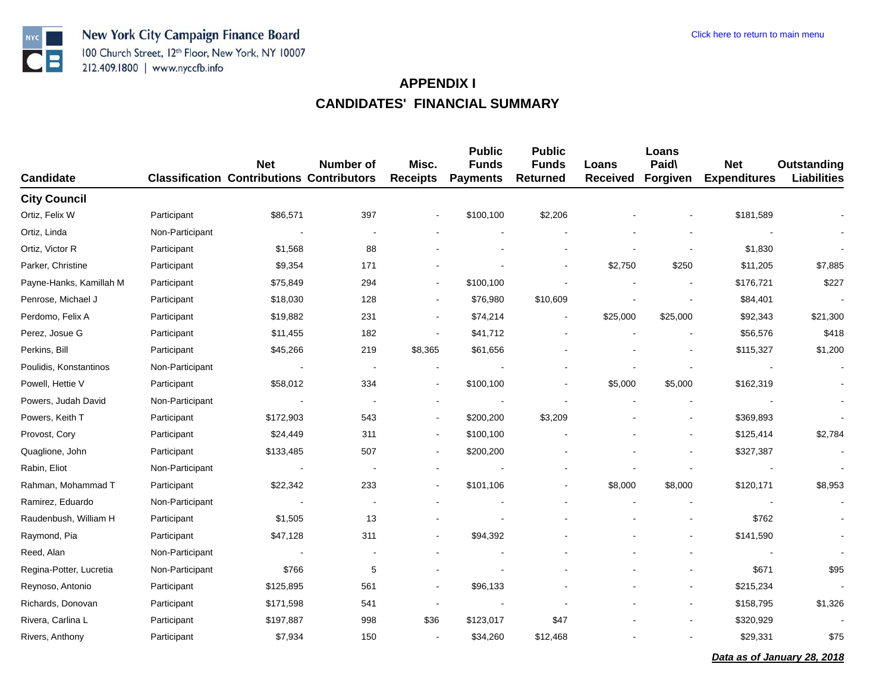

| <b>Candidate</b>        |                 | <b>Net</b><br><b>Classification Contributions Contributors</b> | <b>Number of</b> | Misc.<br><b>Receipts</b> | <b>Public</b><br><b>Funds</b><br><b>Payments</b> | <b>Public</b><br><b>Funds</b><br><b>Returned</b> | Loans<br><b>Received</b> | Loans<br>Paid\<br>Forgiven | <b>Net</b><br><b>Expenditures</b> | <b>Outstanding</b><br><b>Liabilities</b> |
|-------------------------|-----------------|----------------------------------------------------------------|------------------|--------------------------|--------------------------------------------------|--------------------------------------------------|--------------------------|----------------------------|-----------------------------------|------------------------------------------|
| <b>City Council</b>     |                 |                                                                |                  |                          |                                                  |                                                  |                          |                            |                                   |                                          |
| Ortiz, Felix W          | Participant     | \$86,571                                                       | 397              |                          | \$100,100                                        | \$2,206                                          |                          |                            | \$181,589                         |                                          |
| Ortiz, Linda            | Non-Participant |                                                                |                  |                          |                                                  |                                                  |                          |                            |                                   |                                          |
| Ortiz, Victor R         | Participant     | \$1,568                                                        | 88               |                          |                                                  |                                                  |                          |                            | \$1,830                           |                                          |
| Parker, Christine       | Participant     | \$9,354                                                        | 171              |                          |                                                  |                                                  | \$2,750                  | \$250                      | \$11,205                          | \$7,885                                  |
| Payne-Hanks, Kamillah M | Participant     | \$75,849                                                       | 294              |                          | \$100,100                                        |                                                  |                          |                            | \$176,721                         | \$227                                    |
| Penrose, Michael J      | Participant     | \$18,030                                                       | 128              |                          | \$76,980                                         | \$10,609                                         |                          |                            | \$84,401                          |                                          |
| Perdomo, Felix A        | Participant     | \$19,882                                                       | 231              | $\overline{\phantom{a}}$ | \$74,214                                         |                                                  | \$25,000                 | \$25,000                   | \$92,343                          | \$21,300                                 |
| Perez, Josue G          | Participant     | \$11,455                                                       | 182              |                          | \$41,712                                         |                                                  |                          |                            | \$56,576                          | \$418                                    |
| Perkins, Bill           | Participant     | \$45,266                                                       | 219              | \$8,365                  | \$61,656                                         |                                                  |                          |                            | \$115,327                         | \$1,200                                  |
| Poulidis, Konstantinos  | Non-Participant |                                                                |                  |                          |                                                  |                                                  |                          |                            |                                   |                                          |
| Powell, Hettie V        | Participant     | \$58,012                                                       | 334              |                          | \$100,100                                        |                                                  | \$5,000                  | \$5,000                    | \$162,319                         |                                          |
| Powers, Judah David     | Non-Participant | $\blacksquare$                                                 |                  |                          |                                                  |                                                  |                          |                            |                                   |                                          |
| Powers, Keith T         | Participant     | \$172,903                                                      | 543              |                          | \$200,200                                        | \$3,209                                          |                          | $\overline{\phantom{a}}$   | \$369,893                         |                                          |
| Provost, Cory           | Participant     | \$24,449                                                       | 311              |                          | \$100,100                                        |                                                  |                          |                            | \$125,414                         | \$2,784                                  |
| Quaglione, John         | Participant     | \$133,485                                                      | 507              | $\blacksquare$           | \$200,200                                        |                                                  |                          |                            | \$327,387                         |                                          |
| Rabin, Eliot            | Non-Participant | $\overline{\phantom{a}}$                                       |                  |                          |                                                  |                                                  |                          |                            | $\blacksquare$                    |                                          |
| Rahman, Mohammad T      | Participant     | \$22,342                                                       | 233              | $\overline{a}$           | \$101,106                                        |                                                  | \$8,000                  | \$8,000                    | \$120,171                         | \$8,953                                  |
| Ramirez, Eduardo        | Non-Participant |                                                                |                  |                          |                                                  |                                                  |                          |                            |                                   |                                          |
| Raudenbush, William H   | Participant     | \$1,505                                                        | 13               |                          |                                                  |                                                  |                          |                            | \$762                             |                                          |
| Raymond, Pia            | Participant     | \$47,128                                                       | 311              | $\blacksquare$           | \$94,392                                         |                                                  |                          | $\overline{\phantom{a}}$   | \$141,590                         |                                          |
| Reed, Alan              | Non-Participant | $\overline{\phantom{a}}$                                       |                  |                          |                                                  |                                                  |                          | $\blacksquare$             |                                   |                                          |
| Regina-Potter, Lucretia | Non-Participant | \$766                                                          | 5                |                          |                                                  |                                                  |                          |                            | \$671                             | \$95                                     |
| Reynoso, Antonio        | Participant     | \$125,895                                                      | 561              | $\overline{\phantom{a}}$ | \$96,133                                         |                                                  |                          | $\blacksquare$             | \$215,234                         |                                          |
| Richards, Donovan       | Participant     | \$171,598                                                      | 541              | $\blacksquare$           |                                                  |                                                  |                          | $\blacksquare$             | \$158,795                         | \$1,326                                  |
| Rivera, Carlina L       | Participant     | \$197,887                                                      | 998              | \$36                     | \$123,017                                        | \$47                                             |                          |                            | \$320,929                         |                                          |
| Rivers, Anthony         | Participant     | \$7,934                                                        | 150              | $\overline{\phantom{a}}$ | \$34,260                                         | \$12,468                                         |                          |                            | \$29,331                          | \$75                                     |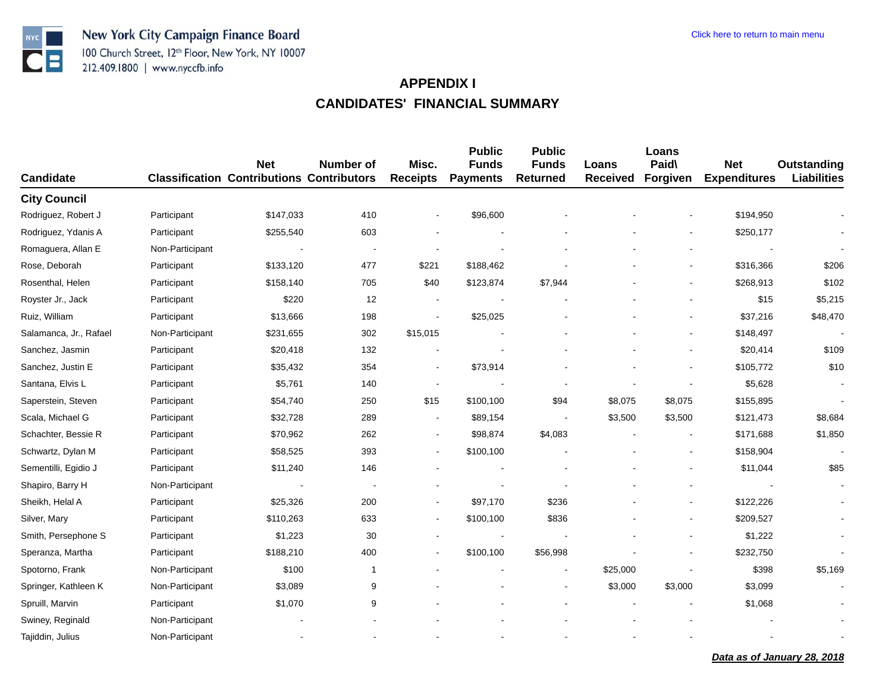

| <b>Candidate</b>       |                 | <b>Net</b><br><b>Classification Contributions Contributors</b> | Number of    | Misc.<br><b>Receipts</b> | <b>Public</b><br><b>Funds</b><br><b>Payments</b> | <b>Public</b><br><b>Funds</b><br><b>Returned</b> | Loans<br><b>Received</b> | Loans<br>Paid\<br>Forgiven | <b>Net</b><br><b>Expenditures</b> | <b>Outstanding</b><br><b>Liabilities</b> |
|------------------------|-----------------|----------------------------------------------------------------|--------------|--------------------------|--------------------------------------------------|--------------------------------------------------|--------------------------|----------------------------|-----------------------------------|------------------------------------------|
| <b>City Council</b>    |                 |                                                                |              |                          |                                                  |                                                  |                          |                            |                                   |                                          |
| Rodriguez, Robert J    | Participant     | \$147,033                                                      | 410          |                          | \$96,600                                         |                                                  |                          |                            | \$194,950                         |                                          |
| Rodriguez, Ydanis A    | Participant     | \$255,540                                                      | 603          |                          |                                                  |                                                  |                          |                            | \$250,177                         |                                          |
| Romaguera, Allan E     | Non-Participant |                                                                |              |                          |                                                  |                                                  |                          |                            |                                   |                                          |
| Rose, Deborah          | Participant     | \$133,120                                                      | 477          | \$221                    | \$188,462                                        |                                                  |                          |                            | \$316,366                         | \$206                                    |
| Rosenthal, Helen       | Participant     | \$158,140                                                      | 705          | \$40                     | \$123,874                                        | \$7,944                                          |                          |                            | \$268,913                         | \$102                                    |
| Royster Jr., Jack      | Participant     | \$220                                                          | 12           |                          |                                                  |                                                  |                          |                            | \$15                              | \$5,215                                  |
| Ruiz, William          | Participant     | \$13,666                                                       | 198          |                          | \$25,025                                         |                                                  |                          |                            | \$37,216                          | \$48,470                                 |
| Salamanca, Jr., Rafael | Non-Participant | \$231,655                                                      | 302          | \$15,015                 |                                                  |                                                  |                          |                            | \$148,497                         |                                          |
| Sanchez, Jasmin        | Participant     | \$20,418                                                       | 132          |                          |                                                  |                                                  |                          |                            | \$20,414                          | \$109                                    |
| Sanchez, Justin E      | Participant     | \$35,432                                                       | 354          | $\blacksquare$           | \$73,914                                         |                                                  |                          |                            | \$105,772                         | \$10                                     |
| Santana, Elvis L       | Participant     | \$5,761                                                        | 140          |                          |                                                  |                                                  |                          |                            | \$5,628                           |                                          |
| Saperstein, Steven     | Participant     | \$54,740                                                       | 250          | \$15                     | \$100,100                                        | \$94                                             | \$8,075                  | \$8,075                    | \$155,895                         | $\sim$                                   |
| Scala, Michael G       | Participant     | \$32,728                                                       | 289          | $\overline{\phantom{a}}$ | \$89,154                                         |                                                  | \$3,500                  | \$3,500                    | \$121,473                         | \$8,684                                  |
| Schachter, Bessie R    | Participant     | \$70,962                                                       | 262          | $\blacksquare$           | \$98,874                                         | \$4,083                                          |                          |                            | \$171,688                         | \$1,850                                  |
| Schwartz, Dylan M      | Participant     | \$58,525                                                       | 393          | $\overline{\phantom{a}}$ | \$100,100                                        |                                                  |                          |                            | \$158,904                         |                                          |
| Sementilli, Egidio J   | Participant     | \$11,240                                                       | 146          |                          |                                                  |                                                  |                          |                            | \$11,044                          | \$85                                     |
| Shapiro, Barry H       | Non-Participant |                                                                |              |                          |                                                  |                                                  |                          |                            |                                   |                                          |
| Sheikh, Helal A        | Participant     | \$25,326                                                       | 200          |                          | \$97,170                                         | \$236                                            |                          |                            | \$122,226                         |                                          |
| Silver, Mary           | Participant     | \$110,263                                                      | 633          | $\blacksquare$           | \$100,100                                        | \$836                                            |                          |                            | \$209,527                         |                                          |
| Smith, Persephone S    | Participant     | \$1,223                                                        | 30           |                          |                                                  |                                                  |                          |                            | \$1,222                           |                                          |
| Speranza, Martha       | Participant     | \$188,210                                                      | 400          |                          | \$100,100                                        | \$56,998                                         |                          |                            | \$232,750                         |                                          |
| Spotorno, Frank        | Non-Participant | \$100                                                          | $\mathbf{1}$ |                          |                                                  |                                                  | \$25,000                 |                            | \$398                             | \$5,169                                  |
| Springer, Kathleen K   | Non-Participant | \$3,089                                                        | 9            |                          |                                                  |                                                  | \$3,000                  | \$3,000                    | \$3,099                           |                                          |
| Spruill, Marvin        | Participant     | \$1,070                                                        | 9            |                          |                                                  |                                                  |                          |                            | \$1,068                           |                                          |
| Swiney, Reginald       | Non-Participant |                                                                |              |                          |                                                  |                                                  |                          |                            |                                   |                                          |
| Tajiddin, Julius       | Non-Participant |                                                                |              |                          |                                                  |                                                  |                          |                            |                                   |                                          |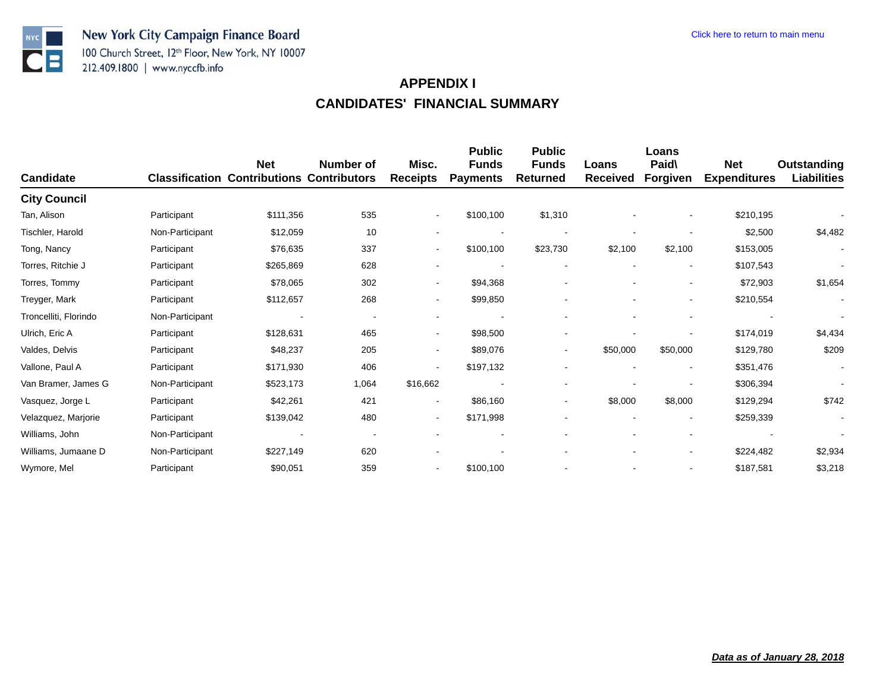

| <b>Candidate</b>      | <b>Classification</b> | <b>Net</b><br><b>Contributions Contributors</b> | Number of                | Misc.<br><b>Receipts</b> | <b>Public</b><br><b>Funds</b><br><b>Payments</b> | <b>Public</b><br><b>Funds</b><br><b>Returned</b> | Loans<br><b>Received</b> | Loans<br>Paid\<br><b>Forgiven</b> | <b>Net</b><br><b>Expenditures</b> | Outstanding<br><b>Liabilities</b> |
|-----------------------|-----------------------|-------------------------------------------------|--------------------------|--------------------------|--------------------------------------------------|--------------------------------------------------|--------------------------|-----------------------------------|-----------------------------------|-----------------------------------|
| <b>City Council</b>   |                       |                                                 |                          |                          |                                                  |                                                  |                          |                                   |                                   |                                   |
| Tan, Alison           | Participant           | \$111,356                                       | 535                      | $\overline{\phantom{a}}$ | \$100,100                                        | \$1,310                                          |                          |                                   | \$210,195                         |                                   |
| Tischler, Harold      | Non-Participant       | \$12,059                                        | 10                       |                          |                                                  |                                                  |                          |                                   | \$2,500                           | \$4,482                           |
| Tong, Nancy           | Participant           | \$76,635                                        | 337                      | $\blacksquare$           | \$100,100                                        | \$23,730                                         | \$2,100                  | \$2,100                           | \$153,005                         | $\blacksquare$                    |
| Torres, Ritchie J     | Participant           | \$265,869                                       | 628                      | $\blacksquare$           |                                                  | $\overline{\phantom{a}}$                         | $\overline{\phantom{a}}$ | $\blacksquare$                    | \$107,543                         | $\blacksquare$                    |
| Torres, Tommy         | Participant           | \$78,065                                        | 302                      | $\blacksquare$           | \$94,368                                         |                                                  |                          |                                   | \$72,903                          | \$1,654                           |
| Treyger, Mark         | Participant           | \$112,657                                       | 268                      | $\overline{\phantom{a}}$ | \$99,850                                         |                                                  |                          | $\overline{\phantom{a}}$          | \$210,554                         | $\blacksquare$                    |
| Troncelliti, Florindo | Non-Participant       |                                                 | $\overline{\phantom{a}}$ | $\overline{\phantom{a}}$ |                                                  |                                                  |                          | $\blacksquare$                    |                                   |                                   |
| Ulrich, Eric A        | Participant           | \$128,631                                       | 465                      | $\overline{\phantom{a}}$ | \$98,500                                         | $\blacksquare$                                   |                          | $\overline{\phantom{a}}$          | \$174,019                         | \$4,434                           |
| Valdes, Delvis        | Participant           | \$48,237                                        | 205                      | $\overline{\phantom{a}}$ | \$89,076                                         | $\overline{\phantom{a}}$                         | \$50,000                 | \$50,000                          | \$129,780                         | \$209                             |
| Vallone, Paul A       | Participant           | \$171,930                                       | 406                      | $\blacksquare$           | \$197,132                                        |                                                  |                          | $\overline{\phantom{a}}$          | \$351,476                         | $\blacksquare$                    |
| Van Bramer, James G   | Non-Participant       | \$523,173                                       | 1,064                    | \$16,662                 |                                                  |                                                  |                          |                                   | \$306,394                         |                                   |
| Vasquez, Jorge L      | Participant           | \$42,261                                        | 421                      | $\overline{\phantom{a}}$ | \$86,160                                         | $\blacksquare$                                   | \$8,000                  | \$8,000                           | \$129,294                         | \$742                             |
| Velazquez, Marjorie   | Participant           | \$139,042                                       | 480                      | $\overline{\phantom{a}}$ | \$171,998                                        |                                                  |                          |                                   | \$259,339                         |                                   |
| Williams, John        | Non-Participant       | $\overline{\phantom{a}}$                        |                          |                          |                                                  |                                                  |                          |                                   |                                   |                                   |
| Williams, Jumaane D   | Non-Participant       | \$227,149                                       | 620                      |                          |                                                  |                                                  |                          | $\overline{\phantom{a}}$          | \$224,482                         | \$2,934                           |
| Wymore, Mel           | Participant           | \$90,051                                        | 359                      | $\blacksquare$           | \$100,100                                        |                                                  |                          |                                   | \$187,581                         | \$3,218                           |